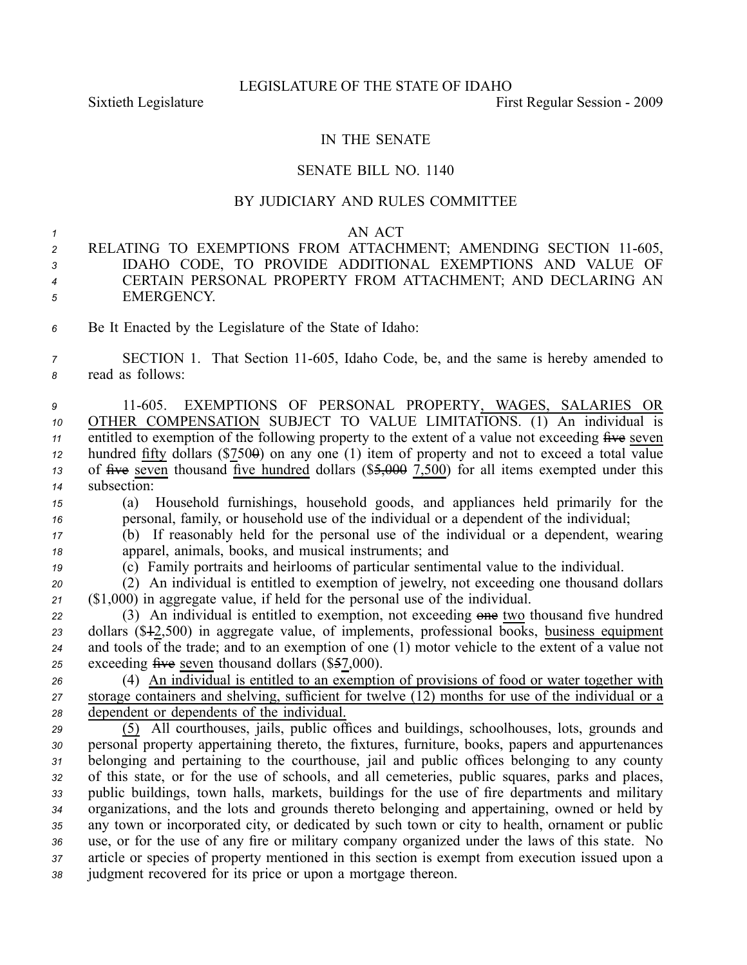## IN THE SENATE

## SENATE BILL NO. 1140

## BY JUDICIARY AND RULES COMMITTEE

## *1* AN ACT

- 2 RELATING TO EXEMPTIONS FROM ATTACHMENT; AMENDING SECTION 11-605, *<sup>3</sup>* IDAHO CODE, TO PROVIDE ADDITIONAL EXEMPTIONS AND VALUE OF *<sup>4</sup>* CERTAIN PERSONAL PROPERTY FROM ATTACHMENT; AND DECLARING AN *<sup>5</sup>* EMERGENCY.
- *<sup>6</sup>* Be It Enacted by the Legislature of the State of Idaho:
- *<sup>7</sup>* SECTION 1. That Section 11605, Idaho Code, be, and the same is hereby amended to *<sup>8</sup>* read as follows:
- *<sup>9</sup>* 11605. EXEMPTIONS OF PERSONAL PROPERTY, WAGES, SALARIES OR *<sup>10</sup>* OTHER COMPENSATION SUBJECT TO VALUE LIMITATIONS. (1) An individual is *11* entitled to exemption of the following property to the extent of a value not exceeding five seven *12* hundred fifty dollars (\$750 $\theta$ ) on any one (1) item of property and not to exceed a total value 13 of  $\frac{1}{2}$  of  $\frac{1}{2}$  thousand  $\frac{1}{2}$  five hundred dollars (\$5,000  $\frac{7}{2}$ ,500) for all items exempted under this *<sup>14</sup>* subsection:
- *<sup>15</sup>* (a) Household furnishings, household goods, and appliances held primarily for the *<sup>16</sup>* personal, family, or household use of the individual or <sup>a</sup> dependent of the individual;
- *<sup>17</sup>* (b) If reasonably held for the personal use of the individual or <sup>a</sup> dependent, wearing *<sup>18</sup>* apparel, animals, books, and musical instruments; and
- *<sup>19</sup>* (c) Family portraits and heirlooms of particular sentimental value to the individual.
- *<sup>20</sup>* (2) An individual is entitled to exemption of jewelry, not exceeding one thousand dollars *<sup>21</sup>* (\$1,000) in aggregate value, if held for the personal use of the individual.
- *<sup>22</sup>* (3) An individual is entitled to exemption, not exceeding one two thousand five hundred *<sup>23</sup>* dollars (\$12,500) in aggregate value, of implements, professional books, business equipment 24 and tools of the trade; and to an exemption of one  $(1)$  motor vehicle to the extent of a value not 25 exceeding five seven thousand dollars (\$57,000).
- *<sup>26</sup>* (4) An individual is entitled to an exemption of provisions of food or water together with *<sup>27</sup>* storage containers and shelving, sufficient for twelve (12) months for use of the individual or <sup>a</sup> *<sup>28</sup>* dependent or dependents of the individual.
- *<sup>29</sup>* (5) All courthouses, jails, public offices and buildings, schoolhouses, lots, grounds and *<sup>30</sup>* personal property appertaining thereto, the fixtures, furniture, books, papers and appurtenances *<sup>31</sup>* belonging and pertaining to the courthouse, jail and public offices belonging to any county *<sup>32</sup>* of this state, or for the use of schools, and all cemeteries, public squares, parks and places, *<sup>33</sup>* public buildings, town halls, markets, buildings for the use of fire departments and military *<sup>34</sup>* organizations, and the lots and grounds thereto belonging and appertaining, owned or held by *<sup>35</sup>* any town or incorporated city, or dedicated by such town or city to health, ornament or public *<sup>36</sup>* use, or for the use of any fire or military company organized under the laws of this state. No *<sup>37</sup>* article or species of property mentioned in this section is exemp<sup>t</sup> from execution issued upon <sup>a</sup> *<sup>38</sup>* judgment recovered for its price or upon <sup>a</sup> mortgage thereon.